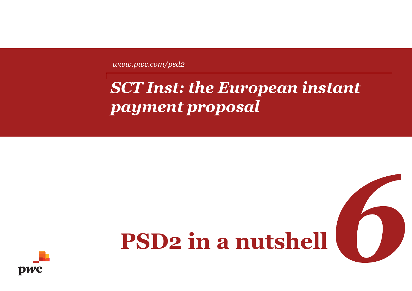*www.pwc.com/psd2*

# *SCT Inst: the European instant payment proposal*

# **PSD2 in a nutshell**

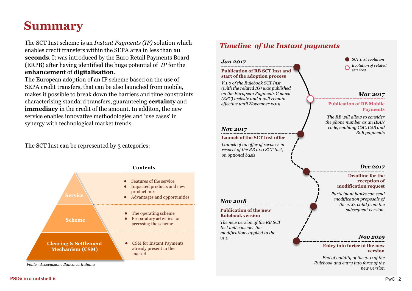# **Summary**

The SCT Inst scheme is an *Instant Payments (IP)* solution which enables credit transfers within the SEPA area in less than **10 seconds**. It was introduced by the Euro Retail Payments Board (ERPB) after having identified the huge potential of *IP* for the **enhancement** of **digitalisation**.

The European adoption of an IP scheme based on the use of SEPA credit transfers, that can be also launched from mobile, makes it possible to break down the barriers and time constraints characterising standard transfers, guaranteeing **certainty** and **immediacy** in the credit of the amount. In additon, the new service enables innovative methodologies and 'use cases' in synergy with technological market trends.

The SCT Inst can be represented by 3 categories:



*Fonte : Associazione Bancaria Italiana*

### *Timeline of the Instant payments*

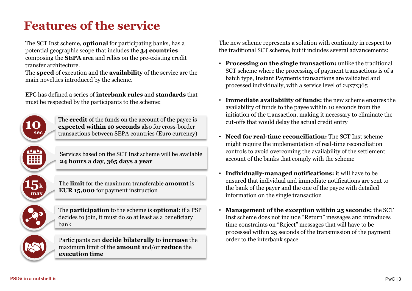# **Features of the service**

The SCT Inst scheme, **optional** for participating banks, has a potential geographic scope that includes the **34 countries**  composing the **SEPA** area and relies on the pre-existing credit transfer architecture.

The **speed** of execution and the **availability** of the service are the main novelties introduced by the scheme.

EPC has defined a series of **interbank rules** and **standards** that must be respected by the participants to the scheme:



transactions between SEPA countries (Euro currency)

The **credit** of the funds on the account of the payee is **expected within 10 seconds** also for cross-border

Services based on the SCT Inst scheme will be available **24 hours a day**, **365 days a year**



The **limit** for the maximum transferable **amount** is **EUR 15,000** for payment instruction



The **participation** to the scheme is **optional**: if a PSP decides to join, it must do so at least as a beneficiary bank

Participants can **decide bilaterally** to **increase** the maximum limit of the **amount** and/or **reduce** the **execution time**

The new scheme represents a solution with continuity in respect to the traditional SCT scheme, but it includes several advancements:

- **Processing on the single transaction:** unlike the traditional SCT scheme where the processing of payment transactions is of a batch type, Instant Payments transactions are validated and processed individually, with a service level of 24x7x365
- **Immediate availability of funds:** the new scheme ensures the availability of funds to the payee within 10 seconds from the initiation of the transaction, making it necessary to eliminate the cut-offs that would delay the actual credit entry
- **Need for real-time reconciliation:** The SCT Inst scheme might require the implementation of real-time reconciliation controls to avoid overcoming the availability of the settlement account of the banks that comply with the scheme
- **Individually-managed notifications:** it will have to be ensured that individual and immediate notifications are sent to the bank of the payer and the one of the payee with detailed information on the single transaction
- **Management of the exception within 25 seconds:** the SCT Inst scheme does not include "Return" messages and introduces time constraints on "Reject" messages that will have to be processed within 25 seconds of the transmission of the payment order to the interbank space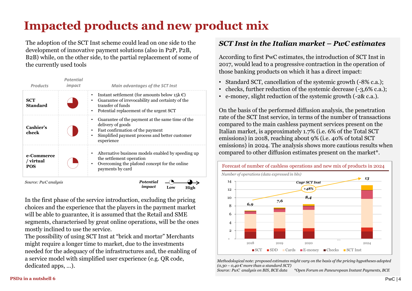# **Impacted products and new product mix**

The adoption of the SCT Inst scheme could lead on one side to the development of innovative payment solutions (also in P2P, P2B, B2B) while, on the other side, to the partial replacement of some of the currently used tools

| <b>Products</b>                | impact    | <b>Main advantages of the SCT Inst</b>                                                                                                                                            |
|--------------------------------|-----------|-----------------------------------------------------------------------------------------------------------------------------------------------------------------------------------|
| <b>SCT</b><br><b>Standard</b>  |           | Instant settlement (for amounts below 15 $k \in \mathbb{C}$ )<br>Guarantee of irrevocability and certainty of the<br>transfer of funds<br>Potential replacement of the urgent SCT |
| Cashier's<br>check             | $\bullet$ | Guarantee of the payment at the same time of the<br>delivery of goods<br>Fast confirmation of the payment<br>Simplified payment process and better customer<br>experience         |
| e-Commerce<br>/ virtual<br>POS |           | Alternative business models enabled by speeding up<br>the settlement operation<br>Overcoming the plafond concept for the online<br>payments by card                               |

*Source: PwC analysis*

*Potential impact* **Low High**

In the first phase of the service introduction, excluding the pricing choices and the experience that the players in the payment market will be able to guarantee, it is assumed that the Retail and SME segments, characterised by great online operations, will be the ones mostly inclined to use the service.

The possibility of using SCT Inst at "brick and mortar" Merchants might require a longer time to market, due to the investments needed for the adequacy of the infrastructures and, the enabling of a service model with simplified user experience (e.g. QR code, dedicated apps, …).

### *SCT Inst in the Italian market – PwC estimates*

According to first PwC estimates, the introduction of SCT Inst in 2017, would lead to a progressive contraction in the operation of those banking products on which it has a direct impact:

- Standard SCT, cancellation of the systemic growth (-8% c.a.);
- checks, further reduction of the systemic decrease (-3,6% c.a.);
- e-money, slight reduction of the systemic growth (-2& c.a.).

On the basis of the performed diffusion analysis, the penetration rate of the SCT Inst service, in terms of the number of transactions compared to the main cashless payment services present on the Italian market, is approximately 1.7% (i.e. 6% of the Total SCT emissions) in 2018, reaching about 9% (i.e. 40% of total SCT emissions) in 2024. The analysis shows more cautious results when compared to other diffusion estimates present on the market\*.



*Methodological note: proposed estimates might vary on the basis of the pricing hypotheses adopted*  $(0.30 - 0.40 \text{ E})$  *more than a standard SCT*)

*Source: PwC analysis on BIS, BCE data \*Open Forum on Paneuropean Instant Payments, BCE*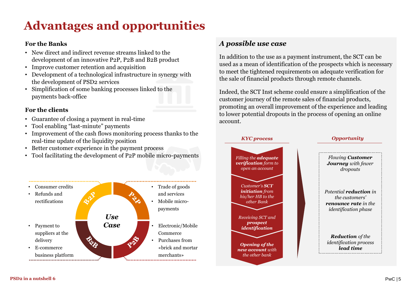# **Advantages and opportunities**

#### **For the Banks**

- New direct and indirect revenue streams linked to the development of an innovative P2P, P2B and B2B product
- Improve customer retention and acquisition
- Development of a technological infrastructure in synergy with the development of PSD2 services
- Simplification of some banking processes linked to the payments back-office

### **For the clients**

- Guarantee of closing a payment in real-time
- Tool enabling "last-minute" payments
- Improvement of the cash flows monitoring process thanks to the real-time update of the liquidity position
- Better customer experience in the payment process
- Tool facilitating the development of P2P mobile micro-payments



### *A possible use case*

In addition to the use as a payment instrument, the SCT can be used as a mean of identification of the prospects which is necessary to meet the tightened requirements on adequate verification for the sale of financial products through remote channels.

Indeed, the SCT Inst scheme could ensure a simplification of the customer journey of the remote sales of financial products, promoting an overall improvement of the experience and leading to lower potential dropouts in the process of opening an online account.

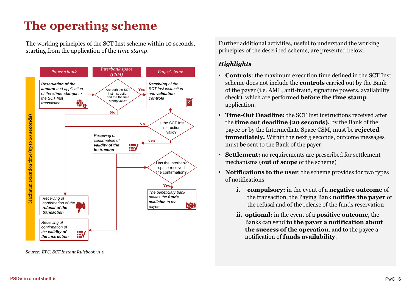# **The operating scheme**

The working principles of the SCT Inst scheme within 10 seconds, starting from the application of the *time stamp*.



*Source: EPC, SCT Instant Rulebook v1.0*

Further additional activities, useful to understand the working principles of the described scheme, are presented below.

### *Highlights*

- **Controls**: the maximum execution time defined in the SCT Inst scheme does not include the **controls** carried out by the Bank of the payer (i.e. AML, anti-fraud, signature powers, availability check), which are performed **before the time stamp**  application.
- **Time-Out Deadline:** the SCT Inst instructions received after the **time out deadline (20 seconds),** by the Bank of the payee or by the Intermediate Space CSM, must be **rejected immediately.** Within the next 5 seconds, outcome messages must be sent to the Bank of the payer.
- **Settlement:** no requirements are prescribed for settlement mechanisms (**out of scope** of the scheme)
- **Notifications to the user**: the scheme provides for two types of notifications
	- **i. compulsory:** in the event of a **negative outcome** of the transaction, the Paying Bank **notifies the payer** of the refusal and of the release of the funds reservation
	- **ii. optional:** in the event of a **positive outcome**, the Banks can send **to the payer a notification about the success of the operation**, and to the payee a notification of **funds availability**.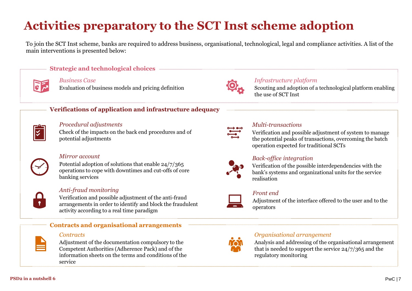# **Activities preparatory to the SCT Inst scheme adoption**

To join the SCT Inst scheme, banks are required to address business, organisational, technological, legal and compliance activities. A list of the main interventions is presented below:



## **Strategic and technological choices**

*Business Case* Evaluation of business models and pricing definition



### *Infrastructure platform*

Scouting and adoption of a technological platform enabling the use of SCT Inst

### **Verifications of application and infrastructure adequacy**

#### *Procedural adjustments*

Check of the impacts on the back end procedures and of potential adjustments



#### *Mirror account*

Potential adoption of solutions that enable 24/7/365 operations to cope with downtimes and cut-offs of core banking services



### *Anti-fraud monitoring*

Verification and possible adjustment of the anti-fraud arrangements in order to identify and block the fraudulent activity according to a real time paradigm



#### *Contracts*

Adjustment of the documentation compulsory to the Competent Authorities (Adherence Pack) and of the information sheets on the terms and conditions of the service

**Contracts and organisational arrangements**



#### *Multi-transactions*

Verification and possible adjustment of system to manage the potential peaks of transactions, overcoming the batch operation expected for traditional SCTs



### *Back-office integration*

Verification of the possible interdependencies with the bank's systems and organizational units for the service realisation



### *Front end*

Adjustment of the interface offered to the user and to the operators



#### *Organisational arrangement*

Analysis and addressing of the organisational arrangement that is needed to support the service 24/7/365 and the regulatory monitoring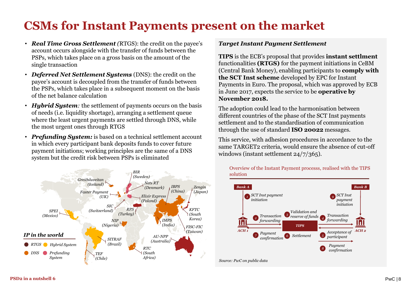# **CSMs for Instant Payments present on the market**

- *Real Time Gross Settlement (*RTGS): the credit on the payee's account occurs alongside with the transfer of funds between the PSPs, which takes place on a gross basis on the amount of the single transaction
- *Deferred Net Settlement Systems* (DNS): the credit on the payee's account is decoupled from the transfer of funds between the PSPs, which takes place in a subsequent moment on the basis of the net balance calculation
- *Hubrid Sustem*: the settlement of payments occurs on the basis of needs (i.e. liquidity shortage), arranging a settlement queue where the least urgent payments are settled through DNS, while the most urgent ones through RTGS
- *Prefunding System:* is based on a technical settlement account in which every participant bank deposits funds to cover future payment initiations; working principles are the same of a DNS system but the credit risk between PSPs is eliminated



#### *Target Instant Payment Settlement*

**TIPS** is the ECB's proposal that provides **instant settlment** functionalities **(RTGS)** for the payment initiations in CeBM (Central Bank Money), enabling participants to **comply with the SCT Inst scheme** developed by EPC for Instant Payments in Euro. The proposal, which was approved by ECB in June 2017, expects the service to be **operative by November 2018.**

The adoption could lead to the harmonisation between different countries of the phase of the SCT Inst payments settlement and to the standardisation of communication through the use of standard **ISO 20022** messages.

This service, with adhesion procedures in accordance to the same TARGET2 criteria, would ensure the absence of cut-off windows (instant settlement 24/7/365).



Overview of the Instant Payment processs, realised with the TIPS solution